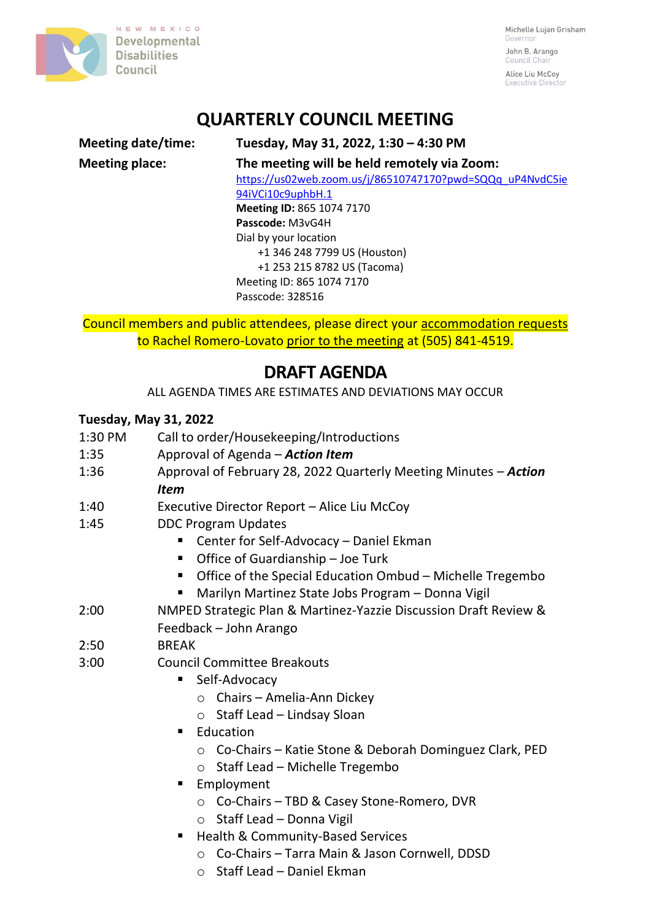

NEW MEXICO Developmental **Disabilities** Council

Michelle Lujan Grisham Governo John B. Arango

Council Cha Alice Liu McCoy Executive Director

## **QUARTERLY COUNCIL MEETING**

## **Meeting date/time: Tuesday, May 31, 2022, 1:30 – 4:30 PM Meeting place: The meeting will be held remotely via Zoom:** [https://us02web.zoom.us/j/86510747170?pwd=SQQq\\_uP4NvdC5ie](https://us02web.zoom.us/j/86510747170?pwd=SQQq_uP4NvdC5ie94iVCi10c9uphbH.1) [94iVCi10c9uphbH.1](https://us02web.zoom.us/j/86510747170?pwd=SQQq_uP4NvdC5ie94iVCi10c9uphbH.1) **Meeting ID:** 865 1074 7170 **Passcode:** M3vG4H Dial by your location +1 346 248 7799 US (Houston) +1 253 215 8782 US (Tacoma) Meeting ID: 865 1074 7170 Passcode: 328516

Council members and public attendees, please direct your accommodation requests to Rachel Romero-Lovato prior to the meeting at (505) 841-4519.

## **DRAFT AGENDA**

ALL AGENDA TIMES ARE ESTIMATES AND DEVIATIONS MAY OCCUR

## **Tuesday, May 31, 2022**

- 1:30 PM Call to order/Housekeeping/Introductions
- 1:35 Approval of Agenda *Action Item*
- 1:36 Approval of February 28, 2022 Quarterly Meeting Minutes *Action Item*
- 1:40 Executive Director Report Alice Liu McCoy
- 1:45 DDC Program Updates
	- Center for Self-Advocacy Daniel Ekman
	- Office of Guardianship Joe Turk
	- Office of the Special Education Ombud Michelle Tregembo
	- Marilyn Martinez State Jobs Program Donna Vigil
- 2:00 NMPED Strategic Plan & Martinez-Yazzie Discussion Draft Review & Feedback – John Arango
- $2.50$  BRFAK
- 3:00 Council Committee Breakouts
	- Self-Advocacy
		- o Chairs Amelia-Ann Dickey
		- o Staff Lead Lindsay Sloan
	- Education
		- o Co-Chairs Katie Stone & Deborah Dominguez Clark, PED
		- o Staff Lead Michelle Tregembo
	- Employment
		- o Co-Chairs TBD & Casey Stone-Romero, DVR
		- o Staff Lead Donna Vigil
	- Health & Community-Based Services
		- o Co-Chairs Tarra Main & Jason Cornwell, DDSD
		- o Staff Lead Daniel Ekman